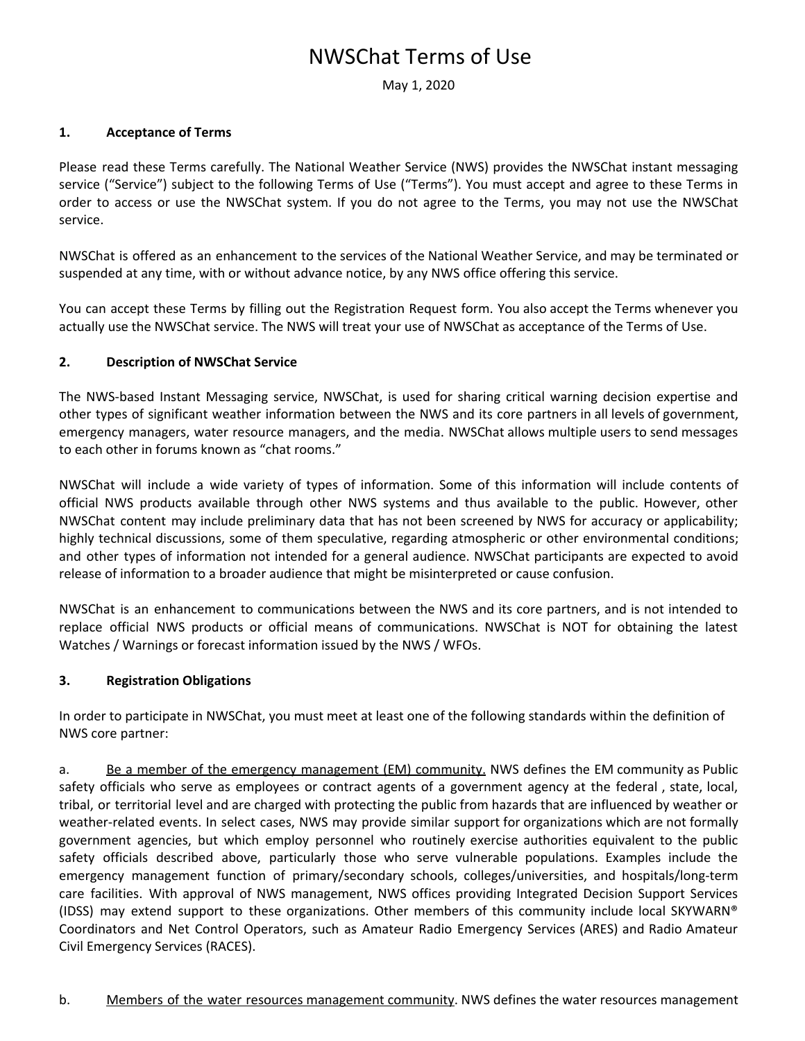# NWSChat Terms of Use

May 1, 2020

#### **1. Acceptance of Terms**

Please read these Terms carefully. The National Weather Service (NWS) provides the NWSChat instant messaging service ("Service") subject to the following Terms of Use ("Terms"). You must accept and agree to these Terms in order to access or use the NWSChat system. If you do not agree to the Terms, you may not use the NWSChat service.

NWSChat is offered as an enhancement to the services of the National Weather Service, and may be terminated or suspended at any time, with or without advance notice, by any NWS office offering this service.

You can accept these Terms by filling out the Registration Request form. You also accept the Terms whenever you actually use the NWSChat service. The NWS will treat your use of NWSChat as acceptance of the Terms of Use.

## **2. Description of NWSChat Service**

The NWS-based Instant Messaging service, NWSChat, is used for sharing critical warning decision expertise and other types of significant weather information between the NWS and its core partners in all levels of government, emergency managers, water resource managers, and the media. NWSChat allows multiple users to send messages to each other in forums known as "chat rooms."

NWSChat will include a wide variety of types of information. Some of this information will include contents of official NWS products available through other NWS systems and thus available to the public. However, other NWSChat content may include preliminary data that has not been screened by NWS for accuracy or applicability; highly technical discussions, some of them speculative, regarding atmospheric or other environmental conditions; and other types of information not intended for a general audience. NWSChat participants are expected to avoid release of information to a broader audience that might be misinterpreted or cause confusion.

NWSChat is an enhancement to communications between the NWS and its core partners, and is not intended to replace official NWS products or official means of communications. NWSChat is NOT for obtaining the latest Watches / Warnings or forecast information issued by the NWS / WFOs.

## **3. Registration Obligations**

In order to participate in NWSChat, you must meet at least one of the following standards within the definition of NWS core partner:

a. Be a member of the emergency management (EM) community. NWS defines the EM community as Public safety officials who serve as employees or contract agents of a government agency at the federal , state, local, tribal, or territorial level and are charged with protecting the public from hazards that are influenced by weather or weather-related events. In select cases, NWS may provide similar support for organizations which are not formally government agencies, but which employ personnel who routinely exercise authorities equivalent to the public safety officials described above, particularly those who serve vulnerable populations. Examples include the emergency management function of primary/secondary schools, colleges/universities, and hospitals/long-term care facilities. With approval of NWS management, NWS offices providing Integrated Decision Support Services (IDSS) may extend support to these organizations. Other members of this community include local SKYWARN® Coordinators and Net Control Operators, such as Amateur Radio Emergency Services (ARES) and Radio Amateur Civil Emergency Services (RACES).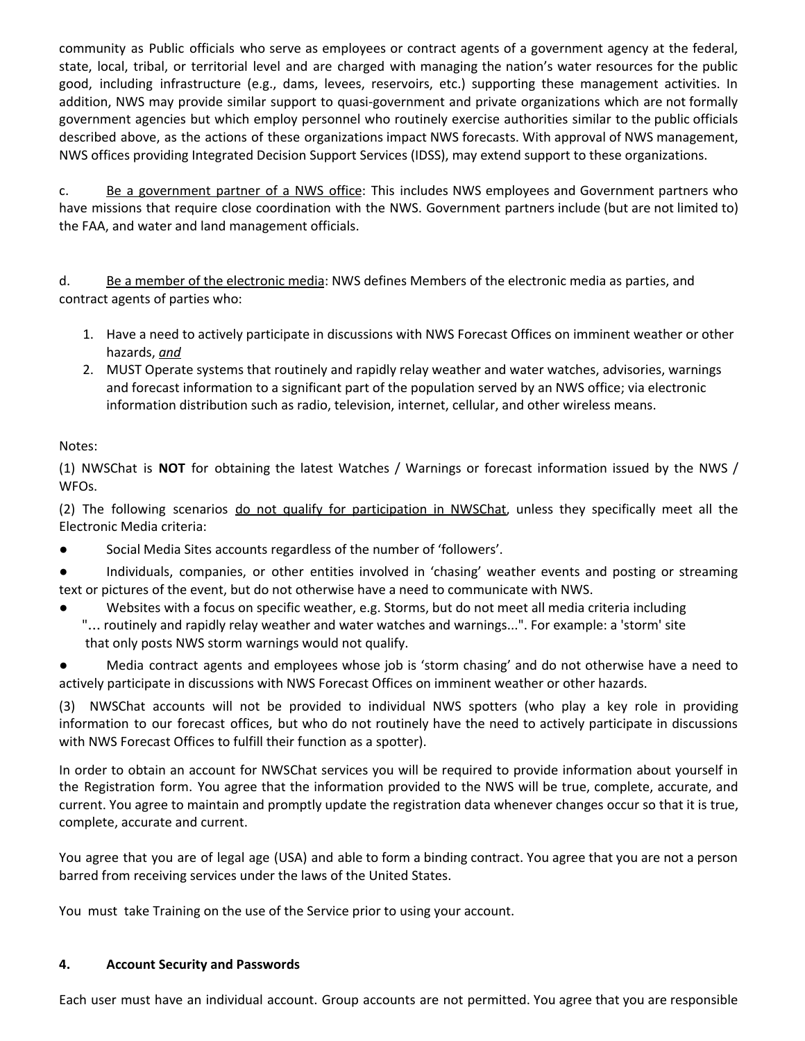community as Public officials who serve as employees or contract agents of a government agency at the federal, state, local, tribal, or territorial level and are charged with managing the nation's water resources for the public good, including infrastructure (e.g., dams, levees, reservoirs, etc.) supporting these management activities. In addition, NWS may provide similar support to quasi-government and private organizations which are not formally government agencies but which employ personnel who routinely exercise authorities similar to the public officials described above, as the actions of these organizations impact NWS forecasts. With approval of NWS management, NWS offices providing Integrated Decision Support Services (IDSS), may extend support to these organizations.

c. Be a government partner of a NWS office: This includes NWS employees and Government partners who have missions that require close coordination with the NWS. Government partners include (but are not limited to) the FAA, and water and land management officials.

d. Be a member of the electronic media: NWS defines Members of the electronic media as parties, and contract agents of parties who:

- 1. Have a need to actively participate in discussions with NWS Forecast Offices on imminent weather or other hazards, *and*
- 2. MUST Operate systems that routinely and rapidly relay weather and water watches, advisories, warnings and forecast information to a significant part of the population served by an NWS office; via electronic information distribution such as radio, television, internet, cellular, and other wireless means.

# Notes:

(1) NWSChat is **NOT** for obtaining the latest Watches / Warnings or forecast information issued by the NWS / WFOs.

(2) The following scenarios do not qualify for participation in NWSChat, unless they specifically meet all the Electronic Media criteria:

● Social Media Sites accounts regardless of the number of 'followers'.

Individuals, companies, or other entities involved in 'chasing' weather events and posting or streaming text or pictures of the event, but do not otherwise have a need to communicate with NWS.

Websites with a focus on specific weather, e.g. Storms, but do not meet all media criteria including "… routinely and rapidly relay weather and water watches and warnings...". For example: a 'storm' site that only posts NWS storm warnings would not qualify.

Media contract agents and employees whose job is 'storm chasing' and do not otherwise have a need to actively participate in discussions with NWS Forecast Offices on imminent weather or other hazards.

(3) NWSChat accounts will not be provided to individual NWS spotters (who play a key role in providing information to our forecast offices, but who do not routinely have the need to actively participate in discussions with NWS Forecast Offices to fulfill their function as a spotter).

In order to obtain an account for NWSChat services you will be required to provide information about yourself in the Registration form. You agree that the information provided to the NWS will be true, complete, accurate, and current. You agree to maintain and promptly update the registration data whenever changes occur so that it is true, complete, accurate and current.

You agree that you are of legal age (USA) and able to form a binding contract. You agree that you are not a person barred from receiving services under the laws of the United States.

You must take Training on the use of the Service prior to using your account.

## **4. Account Security and Passwords**

Each user must have an individual account. Group accounts are not permitted. You agree that you are responsible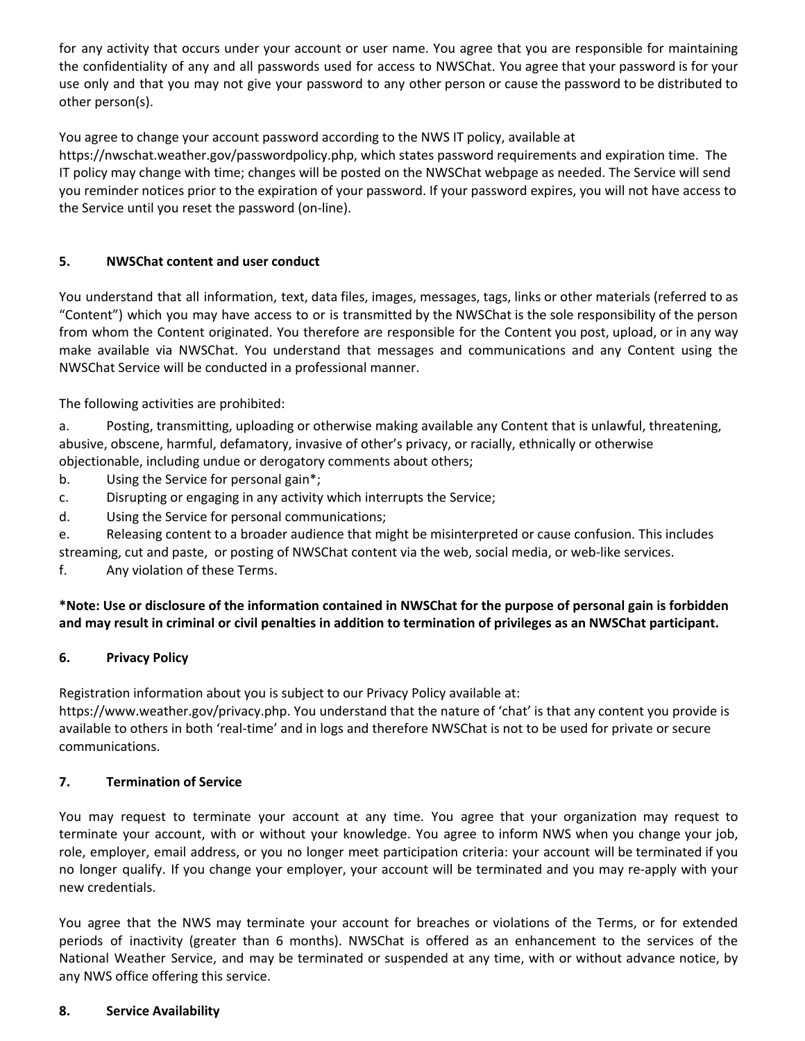for any activity that occurs under your account or user name. You agree that you are responsible for maintaining the confidentiality of any and all passwords used for access to NWSChat. You agree that your password is for your use only and that you may not give your password to any other person or cause the password to be distributed to other person(s).

You agree to change your account password according to the NWS IT policy, available at

https://nwschat.weather.gov/passwordpolicy.php, which states password requirements and expiration time. The IT policy may change with time; changes will be posted on the NWSChat webpage as needed. The Service will send you reminder notices prior to the expiration of your password. If your password expires, you will not have access to the Service until you reset the password (on-line).

## **5. NWSChat content and user conduct**

You understand that all information, text, data files, images, messages, tags, links or other materials (referred to as "Content") which you may have access to or is transmitted by the NWSChat is the sole responsibility of the person from whom the Content originated. You therefore are responsible for the Content you post, upload, or in any way make available via NWSChat. You understand that messages and communications and any Content using the NWSChat Service will be conducted in a professional manner.

The following activities are prohibited:

a. Posting, transmitting, uploading or otherwise making available any Content that is unlawful, threatening, abusive, obscene, harmful, defamatory, invasive of other's privacy, or racially, ethnically or otherwise objectionable, including undue or derogatory comments about others;

- b. Using the Service for personal gain\*;
- c. Disrupting or engaging in any activity which interrupts the Service;
- d. Using the Service for personal communications;

e. Releasing content to a broader audience that might be misinterpreted or cause confusion. This includes streaming, cut and paste, or posting of NWSChat content via the web, social media, or web-like services.

f. Any violation of these Terms.

# \*Note: Use or disclosure of the information contained in NWSChat for the purpose of personal gain is forbidden and may result in criminal or civil penalties in addition to termination of privileges as an NWSChat participant.

# **6. Privacy Policy**

Registration information about you is subject to our Privacy Policy available at:

[https://www.weather.gov/privacy.php.](http://www.weather.gov/privacy.php) You understand that the nature of 'chat' is that any content you provide is available to others in both 'real-time' and in logs and therefore NWSChat is not to be used for private or secure communications.

## **7. Termination of Service**

You may request to terminate your account at any time. You agree that your organization may request to terminate your account, with or without your knowledge. You agree to inform NWS when you change your job, role, employer, email address, or you no longer meet participation criteria: your account will be terminated if you no longer qualify. If you change your employer, your account will be terminated and you may re-apply with your new credentials.

You agree that the NWS may terminate your account for breaches or violations of the Terms, or for extended periods of inactivity (greater than 6 months). NWSChat is offered as an enhancement to the services of the National Weather Service, and may be terminated or suspended at any time, with or without advance notice, by any NWS office offering this service.

## **8. Service Availability**